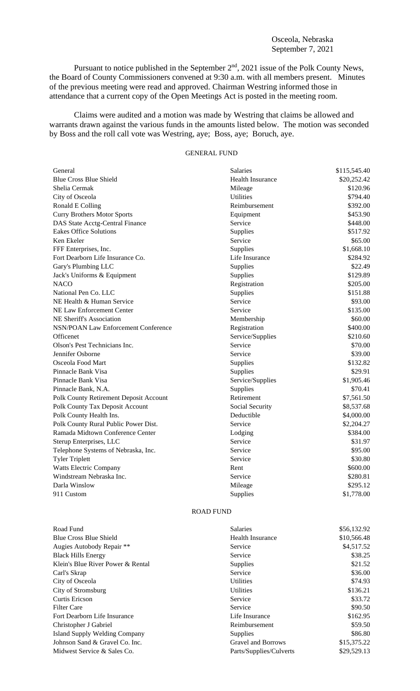## Osceola, Nebraska September 7, 2021

Pursuant to notice published in the September 2<sup>nd</sup>, 2021 issue of the Polk County News, the Board of County Commissioners convened at 9:30 a.m. with all members present. Minutes of the previous meeting were read and approved. Chairman Westring informed those in attendance that a current copy of the Open Meetings Act is posted in the meeting room.

Claims were audited and a motion was made by Westring that claims be allowed and warrants drawn against the various funds in the amounts listed below. The motion was seconded by Boss and the roll call vote was Westring, aye; Boss, aye; Boruch, aye.

# GENERAL FUND

| General                                    | <b>Salaries</b>         | \$115,545.40 |
|--------------------------------------------|-------------------------|--------------|
| <b>Blue Cross Blue Shield</b>              | <b>Health Insurance</b> | \$20,252.42  |
| Shelia Cermak                              | Mileage                 | \$120.96     |
| City of Osceola                            | <b>Utilities</b>        | \$794.40     |
| Ronald E Colling                           | Reimbursement           | \$392.00     |
| <b>Curry Brothers Motor Sports</b>         | Equipment               | \$453.90     |
| DAS State Acctg-Central Finance            | Service                 | \$448.00     |
| <b>Eakes Office Solutions</b>              | Supplies                | \$517.92     |
| Ken Ekeler                                 | Service                 | \$65.00      |
| FFF Enterprises, Inc.                      | Supplies                | \$1,668.10   |
| Fort Dearborn Life Insurance Co.           | Life Insurance          | \$284.92     |
| Gary's Plumbing LLC                        | Supplies                | \$22.49      |
| Jack's Uniforms & Equipment                | Supplies                | \$129.89     |
| <b>NACO</b>                                | Registration            | \$205.00     |
| National Pen Co. LLC                       | Supplies                | \$151.88     |
| NE Health & Human Service                  | Service                 | \$93.00      |
| NE Law Enforcement Center                  | Service                 | \$135.00     |
| NE Sheriff's Association                   | Membership              | \$60.00      |
| <b>NSN/POAN Law Enforcement Conference</b> | Registration            | \$400.00     |
| Officenet                                  | Service/Supplies        | \$210.60     |
| Olson's Pest Technicians Inc.              | Service                 | \$70.00      |
| Jennifer Osborne                           | Service                 | \$39.00      |
| Osceola Food Mart                          | Supplies                | \$132.82     |
| Pinnacle Bank Visa                         | Supplies                | \$29.91      |
| Pinnacle Bank Visa                         | Service/Supplies        | \$1,905.46   |
| Pinnacle Bank, N.A.                        | Supplies                | \$70.41      |
| Polk County Retirement Deposit Account     | Retirement              | \$7,561.50   |
| Polk County Tax Deposit Account            | Social Security         | \$8,537.68   |
| Polk County Health Ins.                    | Deductible              | \$4,000.00   |
| Polk County Rural Public Power Dist.       | Service                 | \$2,204.27   |
| Ramada Midtown Conference Center           | Lodging                 | \$384.00     |
| Sterup Enterprises, LLC                    | Service                 | \$31.97      |
| Telephone Systems of Nebraska, Inc.        | Service                 | \$95.00      |
| <b>Tyler Triplett</b>                      | Service                 | \$30.80      |
| <b>Watts Electric Company</b>              | Rent                    | \$600.00     |
| Windstream Nebraska Inc.                   | Service                 | \$280.81     |
| Darla Winslow                              | Mileage                 | \$295.12     |
| 911 Custom                                 | Supplies                | \$1,778.00   |

### ROAD FUND

| Road Fund                            | <b>Salaries</b>           | \$56,132.92 |
|--------------------------------------|---------------------------|-------------|
| <b>Blue Cross Blue Shield</b>        | <b>Health Insurance</b>   | \$10,566.48 |
| Augies Autobody Repair **            | Service                   | \$4,517.52  |
| <b>Black Hills Energy</b>            | Service                   | \$38.25     |
| Klein's Blue River Power & Rental    | <b>Supplies</b>           | \$21.52     |
| Carl's Skrap                         | Service                   | \$36.00     |
| City of Osceola                      | <b>Utilities</b>          | \$74.93     |
| City of Stromsburg                   | <b>Utilities</b>          | \$136.21    |
| Curtis Ericson                       | Service                   | \$33.72     |
| Filter Care                          | Service                   | \$90.50     |
| Fort Dearborn Life Insurance         | Life Insurance            | \$162.95    |
| Christopher J Gabriel                | Reimbursement             | \$59.50     |
| <b>Island Supply Welding Company</b> | <b>Supplies</b>           | \$86.80     |
| Johnson Sand & Gravel Co. Inc.       | <b>Gravel and Borrows</b> | \$15,375.22 |
| Midwest Service & Sales Co.          | Parts/Supplies/Culverts   | \$29,529.13 |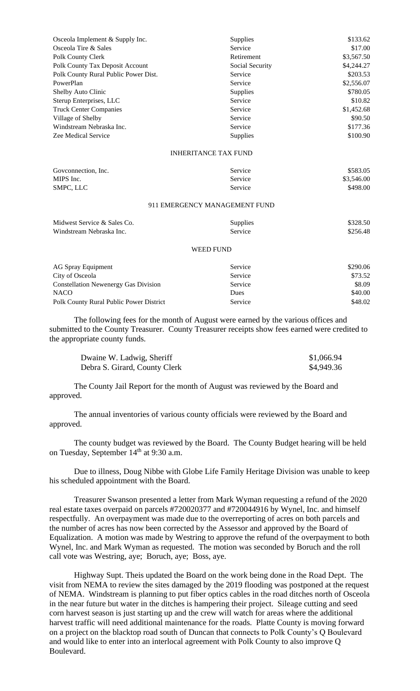| Osceola Implement & Supply Inc.      | <b>Supplies</b> | \$133.62   |
|--------------------------------------|-----------------|------------|
| Osceola Tire & Sales                 | Service         | \$17.00    |
| Polk County Clerk                    | Retirement      | \$3,567.50 |
| Polk County Tax Deposit Account      | Social Security | \$4,244.27 |
| Polk County Rural Public Power Dist. | Service         | \$203.53   |
| PowerPlan                            | Service         | \$2,556.07 |
| Shelby Auto Clinic                   | <b>Supplies</b> | \$780.05   |
| Sterup Enterprises, LLC              | Service         | \$10.82    |
| <b>Truck Center Companies</b>        | Service         | \$1,452.68 |
| Village of Shelby                    | Service         | \$90.50    |
| Windstream Nebraska Inc.             | Service         | \$177.36   |
| Zee Medical Service                  | <b>Supplies</b> | \$100.90   |

### INHERITANCE TAX FUND

| Goveonnection, Inc. | Service | \$583.05   |
|---------------------|---------|------------|
| MIPS Inc.           | Service | \$3,546.00 |
| SMPC, LLC           | Service | \$498.00   |

### 911 EMERGENCY MANAGEMENT FUND

| Midwest Service & Sales Co. | <b>Supplies</b> | \$328.50 |
|-----------------------------|-----------------|----------|
| Windstream Nebraska Inc.    | Service         | \$256.48 |

#### WEED FUND

| AG Spray Equipment                          | Service     | \$290.06 |
|---------------------------------------------|-------------|----------|
| City of Osceola                             | Service     | \$73.52  |
| <b>Constellation Newenergy Gas Division</b> | Service     | \$8.09   |
| <b>NACO</b>                                 | <b>Dues</b> | \$40.00  |
| Polk County Rural Public Power District     | Service     | \$48.02  |

The following fees for the month of August were earned by the various offices and submitted to the County Treasurer. County Treasurer receipts show fees earned were credited to the appropriate county funds.

| Dwaine W. Ladwig, Sheriff     | \$1,066.94 |
|-------------------------------|------------|
| Debra S. Girard, County Clerk | \$4,949.36 |

The County Jail Report for the month of August was reviewed by the Board and approved.

The annual inventories of various county officials were reviewed by the Board and approved.

The county budget was reviewed by the Board. The County Budget hearing will be held on Tuesday, September 14<sup>th</sup> at 9:30 a.m.

Due to illness, Doug Nibbe with Globe Life Family Heritage Division was unable to keep his scheduled appointment with the Board.

Treasurer Swanson presented a letter from Mark Wyman requesting a refund of the 2020 real estate taxes overpaid on parcels #720020377 and #720044916 by Wynel, Inc. and himself respectfully. An overpayment was made due to the overreporting of acres on both parcels and the number of acres has now been corrected by the Assessor and approved by the Board of Equalization. A motion was made by Westring to approve the refund of the overpayment to both Wynel, Inc. and Mark Wyman as requested. The motion was seconded by Boruch and the roll call vote was Westring, aye; Boruch, aye; Boss, aye.

Highway Supt. Theis updated the Board on the work being done in the Road Dept. The visit from NEMA to review the sites damaged by the 2019 flooding was postponed at the request of NEMA. Windstream is planning to put fiber optics cables in the road ditches north of Osceola in the near future but water in the ditches is hampering their project. Sileage cutting and seed corn harvest season is just starting up and the crew will watch for areas where the additional harvest traffic will need additional maintenance for the roads. Platte County is moving forward on a project on the blacktop road south of Duncan that connects to Polk County's Q Boulevard and would like to enter into an interlocal agreement with Polk County to also improve Q Boulevard.